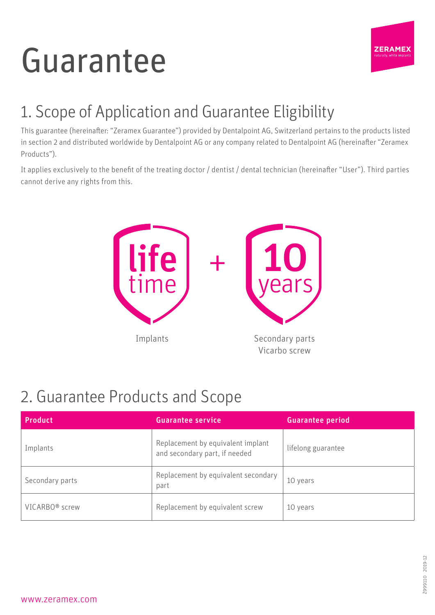# Guarantee



### 1. Scope of Application and Guarantee Eligibility

This guarantee (hereinafter: "Zeramex Guarantee") provided by Dentalpoint AG, Switzerland pertains to the products listed in section 2 and distributed worldwide by Dentalpoint AG or any company related to Dentalpoint AG (hereinafter "Zeramex Products").

It applies exclusively to the benefit of the treating doctor / dentist / dental technician (hereinafter "User"). Third parties cannot derive any rights from this.



#### 2. Guarantee Products and Scope

| <b>Product</b>             | <b>Guarantee service</b>                                           | <b>Guarantee period</b> |
|----------------------------|--------------------------------------------------------------------|-------------------------|
| Implants                   | Replacement by equivalent implant<br>and secondary part, if needed | lifelong guarantee      |
| Secondary parts            | Replacement by equivalent secondary<br>part                        | 10 years                |
| VICARBO <sup>®</sup> screw | Replacement by equivalent screw                                    | 10 years                |